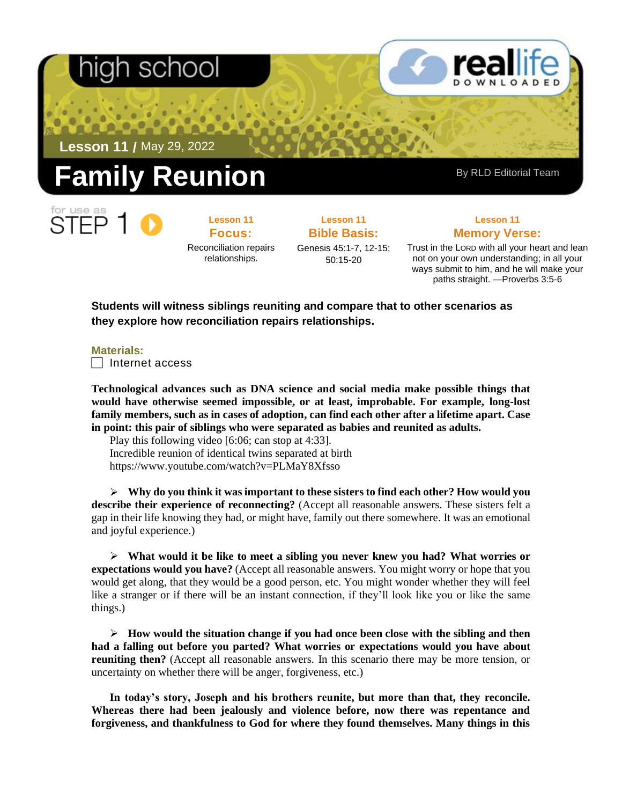## า school

**Lesson 11 /** May 29, 2022

# **Reunion** By RLD Editorial Team

**Lesson 11 Focus:**  Reconciliation repairs relationships.

**Lesson 11 Bible Basis:**

Genesis 45:1-7, 12-15; 50:15-20

**Lesson 11 Memory Verse:**

Trust in the LORD with all your heart and lean not on your own understanding; in all your ways submit to him, and he will make your paths straight. —Proverbs 3:5-6

**Students will witness siblings reuniting and compare that to other scenarios as they explore how reconciliation repairs relationships.**

**Materials:**

 $\Box$  Internet access

**Technological advances such as DNA science and social media make possible things that would have otherwise seemed impossible, or at least, improbable. For example, long-lost family members, such as in cases of adoption, can find each other after a lifetime apart. Case in point: this pair of siblings who were separated as babies and reunited as adults.**

Play this following video [6:06; can stop at 4:33]. Incredible reunion of identical twins separated at birth <https://www.youtube.com/watch?v=PLMaY8Xfsso>

➢ **Why do you think it was important to these sisters to find each other? How would you describe their experience of reconnecting?** (Accept all reasonable answers. These sisters felt a gap in their life knowing they had, or might have, family out there somewhere. It was an emotional and joyful experience.)

➢ **What would it be like to meet a sibling you never knew you had? What worries or expectations would you have?** (Accept all reasonable answers. You might worry or hope that you would get along, that they would be a good person, etc. You might wonder whether they will feel like a stranger or if there will be an instant connection, if they'll look like you or like the same things.)

➢ **How would the situation change if you had once been close with the sibling and then had a falling out before you parted? What worries or expectations would you have about reuniting then?** (Accept all reasonable answers. In this scenario there may be more tension, or uncertainty on whether there will be anger, forgiveness, etc.)

**In today's story, Joseph and his brothers reunite, but more than that, they reconcile. Whereas there had been jealously and violence before, now there was repentance and forgiveness, and thankfulness to God for where they found themselves. Many things in this**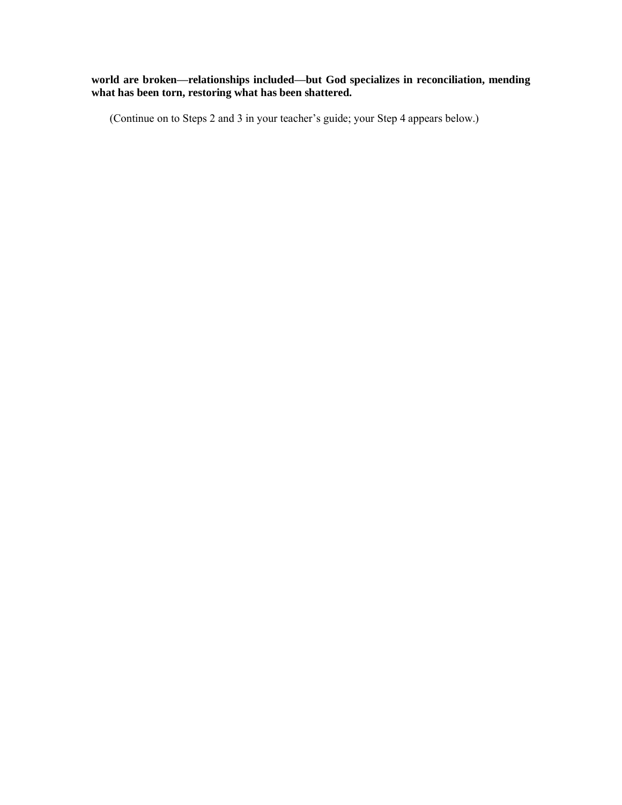#### **world are broken—relationships included—but God specializes in reconciliation, mending what has been torn, restoring what has been shattered.**

(Continue on to Steps 2 and 3 in your teacher's guide; your Step 4 appears below.)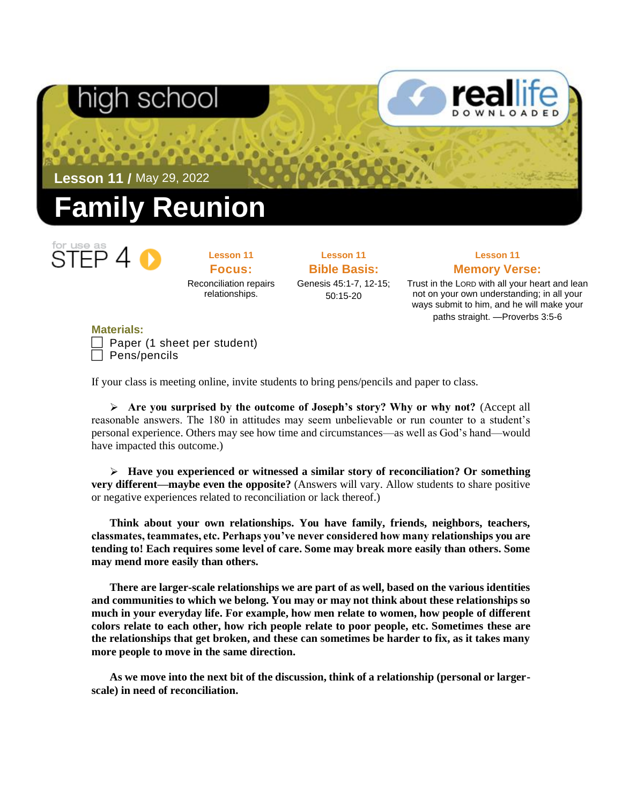

**Lesson 11 Focus:**  Reconciliation repairs relationships.

**Lesson 11 Bible Basis:** Genesis 45:1-7, 12-15; 50:15-20

### **Lesson 11 Memory Verse:**

Trust in the LORD with all your heart and lean not on your own understanding; in all your ways submit to him, and he will make your paths straight. —Proverbs 3:5-6

**Materials:** Paper (1 sheet per student) Pens/pencils

If your class is meeting online, invite students to bring pens/pencils and paper to class.

➢ **Are you surprised by the outcome of Joseph's story? Why or why not?** (Accept all reasonable answers. The 180 in attitudes may seem unbelievable or run counter to a student's personal experience. Others may see how time and circumstances—as well as God's hand—would have impacted this outcome.)

➢ **Have you experienced or witnessed a similar story of reconciliation? Or something very different—maybe even the opposite?** (Answers will vary. Allow students to share positive or negative experiences related to reconciliation or lack thereof.)

**Think about your own relationships. You have family, friends, neighbors, teachers, classmates, teammates, etc. Perhaps you've never considered how many relationships you are tending to! Each requires some level of care. Some may break more easily than others. Some may mend more easily than others.**

**There are larger-scale relationships we are part of as well, based on the various identities and communities to which we belong. You may or may not think about these relationships so much in your everyday life. For example, how men relate to women, how people of different colors relate to each other, how rich people relate to poor people, etc. Sometimes these are the relationships that get broken, and these can sometimes be harder to fix, as it takes many more people to move in the same direction.** 

**As we move into the next bit of the discussion, think of a relationship (personal or largerscale) in need of reconciliation.**